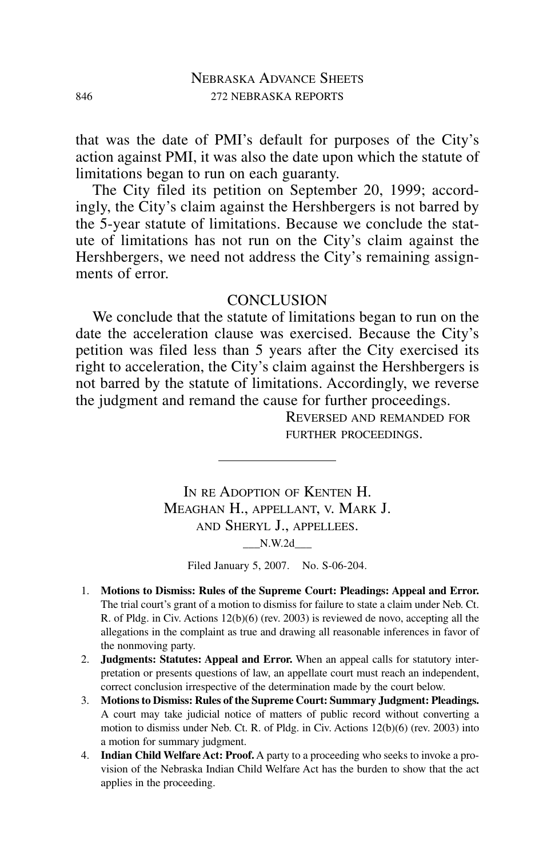that was the date of PMI's default for purposes of the City's action against PMI, it was also the date upon which the statute of limitations began to run on each guaranty.

The City filed its petition on September 20, 1999; accordingly, the City's claim against the Hershbergers is not barred by the 5-year statute of limitations. Because we conclude the statute of limitations has not run on the City's claim against the Hershbergers, we need not address the City's remaining assignments of error.

## **CONCLUSION**

We conclude that the statute of limitations began to run on the date the acceleration clause was exercised. Because the City's petition was filed less than 5 years after the City exercised its right to acceleration, the City's claim against the Hershbergers is not barred by the statute of limitations. Accordingly, we reverse the judgment and remand the cause for further proceedings.

REVERSED AND REMANDED FOR FURTHER PROCEEDINGS.

IN RE ADOPTION OF KENTEN H. MEAGHAN H., APPELLANT, V. MARK J. AND SHERYL J., APPELLEES.

 $N.W.2d$ 

Filed January 5, 2007. No. S-06-204.

- 1. **Motions to Dismiss: Rules of the Supreme Court: Pleadings: Appeal and Error.** The trial court's grant of a motion to dismiss for failure to state a claim under Neb. Ct. R. of Pldg. in Civ. Actions 12(b)(6) (rev. 2003) is reviewed de novo, accepting all the allegations in the complaint as true and drawing all reasonable inferences in favor of the nonmoving party.
- 2. **Judgments: Statutes: Appeal and Error.** When an appeal calls for statutory interpretation or presents questions of law, an appellate court must reach an independent, correct conclusion irrespective of the determination made by the court below.
- 3. **Motions to Dismiss: Rules of the Supreme Court: Summary Judgment: Pleadings.** A court may take judicial notice of matters of public record without converting a motion to dismiss under Neb. Ct. R. of Pldg. in Civ. Actions 12(b)(6) (rev. 2003) into a motion for summary judgment.
- 4. **Indian Child Welfare Act: Proof.** A party to a proceeding who seeks to invoke a provision of the Nebraska Indian Child Welfare Act has the burden to show that the act applies in the proceeding.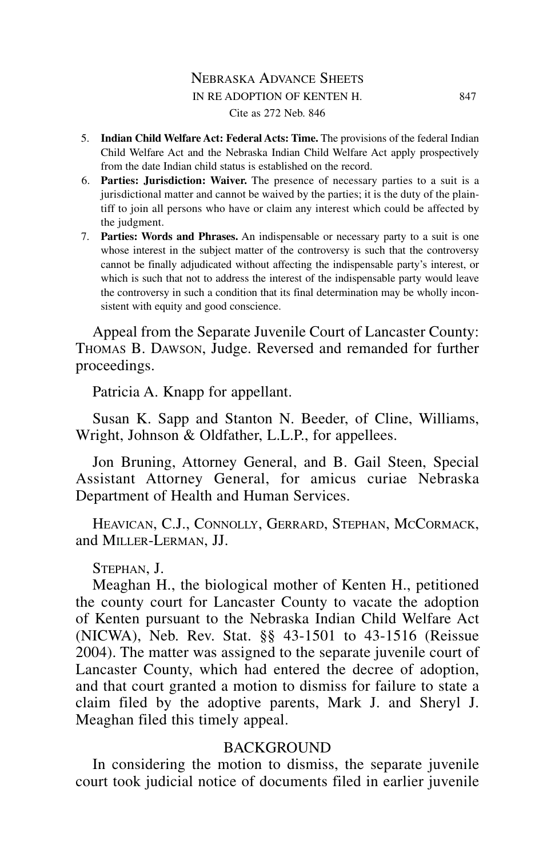- 5. **Indian Child Welfare Act: Federal Acts: Time.** The provisions of the federal Indian Child Welfare Act and the Nebraska Indian Child Welfare Act apply prospectively from the date Indian child status is established on the record.
- 6. **Parties: Jurisdiction: Waiver.** The presence of necessary parties to a suit is a jurisdictional matter and cannot be waived by the parties; it is the duty of the plaintiff to join all persons who have or claim any interest which could be affected by the judgment.
- 7. **Parties: Words and Phrases.** An indispensable or necessary party to a suit is one whose interest in the subject matter of the controversy is such that the controversy cannot be finally adjudicated without affecting the indispensable party's interest, or which is such that not to address the interest of the indispensable party would leave the controversy in such a condition that its final determination may be wholly inconsistent with equity and good conscience.

Appeal from the Separate Juvenile Court of Lancaster County: THOMAS B. DAWSON, Judge. Reversed and remanded for further proceedings.

Patricia A. Knapp for appellant.

Susan K. Sapp and Stanton N. Beeder, of Cline, Williams, Wright, Johnson & Oldfather, L.L.P., for appellees.

Jon Bruning, Attorney General, and B. Gail Steen, Special Assistant Attorney General, for amicus curiae Nebraska Department of Health and Human Services.

HEAVICAN, C.J., CONNOLLY, GERRARD, STEPHAN, MCCORMACK, and MILLER-LERMAN, JJ.

STEPHAN, J.

Meaghan H., the biological mother of Kenten H., petitioned the county court for Lancaster County to vacate the adoption of Kenten pursuant to the Nebraska Indian Child Welfare Act (NICWA), Neb. Rev. Stat. §§ 43-1501 to 43-1516 (Reissue 2004). The matter was assigned to the separate juvenile court of Lancaster County, which had entered the decree of adoption, and that court granted a motion to dismiss for failure to state a claim filed by the adoptive parents, Mark J. and Sheryl J. Meaghan filed this timely appeal.

# BACKGROUND

In considering the motion to dismiss, the separate juvenile court took judicial notice of documents filed in earlier juvenile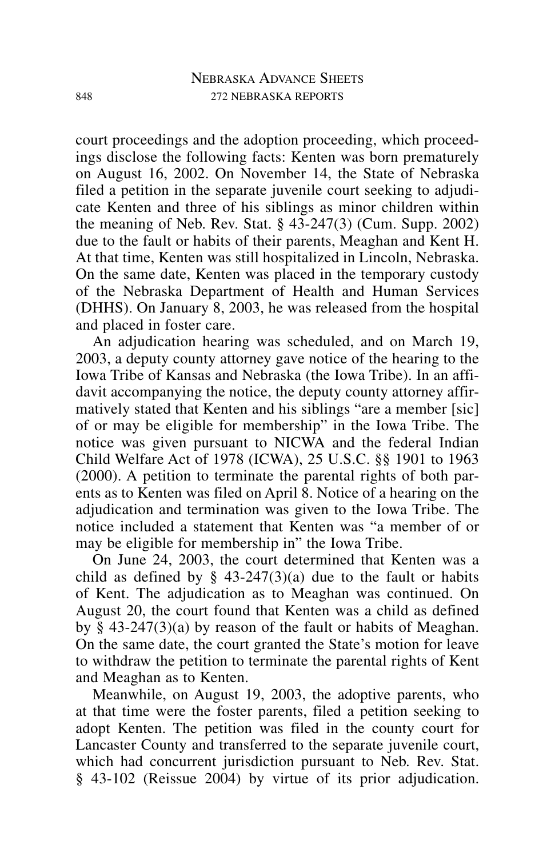court proceedings and the adoption proceeding, which proceedings disclose the following facts: Kenten was born prematurely on August 16, 2002. On November 14, the State of Nebraska filed a petition in the separate juvenile court seeking to adjudicate Kenten and three of his siblings as minor children within the meaning of Neb. Rev. Stat. § 43-247(3) (Cum. Supp. 2002) due to the fault or habits of their parents, Meaghan and Kent H. At that time, Kenten was still hospitalized in Lincoln, Nebraska. On the same date, Kenten was placed in the temporary custody of the Nebraska Department of Health and Human Services (DHHS). On January 8, 2003, he was released from the hospital and placed in foster care.

An adjudication hearing was scheduled, and on March 19, 2003, a deputy county attorney gave notice of the hearing to the Iowa Tribe of Kansas and Nebraska (the Iowa Tribe). In an affidavit accompanying the notice, the deputy county attorney affirmatively stated that Kenten and his siblings "are a member [sic] of or may be eligible for membership" in the Iowa Tribe. The notice was given pursuant to NICWA and the federal Indian Child Welfare Act of 1978 (ICWA), 25 U.S.C. §§ 1901 to 1963 (2000). A petition to terminate the parental rights of both parents as to Kenten was filed on April 8. Notice of a hearing on the adjudication and termination was given to the Iowa Tribe. The notice included a statement that Kenten was "a member of or may be eligible for membership in" the Iowa Tribe.

On June 24, 2003, the court determined that Kenten was a child as defined by  $\S$  43-247(3)(a) due to the fault or habits of Kent. The adjudication as to Meaghan was continued. On August 20, the court found that Kenten was a child as defined by § 43-247(3)(a) by reason of the fault or habits of Meaghan. On the same date, the court granted the State's motion for leave to withdraw the petition to terminate the parental rights of Kent and Meaghan as to Kenten.

Meanwhile, on August 19, 2003, the adoptive parents, who at that time were the foster parents, filed a petition seeking to adopt Kenten. The petition was filed in the county court for Lancaster County and transferred to the separate juvenile court, which had concurrent jurisdiction pursuant to Neb. Rev. Stat. § 43-102 (Reissue 2004) by virtue of its prior adjudication.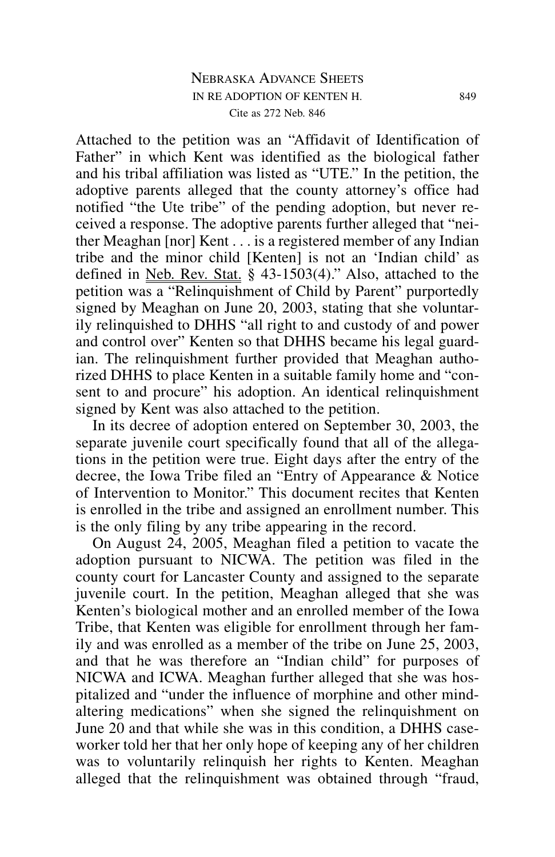## NEBRASKA ADVANCE SHEETS IN RE ADOPTION OF KENTEN H. 849 Cite as 272 Neb. 846

Attached to the petition was an "Affidavit of Identification of Father" in which Kent was identified as the biological father and his tribal affiliation was listed as "UTE." In the petition, the adoptive parents alleged that the county attorney's office had notified "the Ute tribe" of the pending adoption, but never received a response. The adoptive parents further alleged that "neither Meaghan [nor] Kent . . . is a registered member of any Indian tribe and the minor child [Kenten] is not an 'Indian child' as defined in Neb. Rev. Stat. § 43-1503(4)." Also, attached to the petition was a "Relinquishment of Child by Parent" purportedly signed by Meaghan on June 20, 2003, stating that she voluntarily relinquished to DHHS "all right to and custody of and power and control over" Kenten so that DHHS became his legal guardian. The relinquishment further provided that Meaghan authorized DHHS to place Kenten in a suitable family home and "consent to and procure" his adoption. An identical relinquishment signed by Kent was also attached to the petition.

In its decree of adoption entered on September 30, 2003, the separate juvenile court specifically found that all of the allegations in the petition were true. Eight days after the entry of the decree, the Iowa Tribe filed an "Entry of Appearance & Notice of Intervention to Monitor." This document recites that Kenten is enrolled in the tribe and assigned an enrollment number. This is the only filing by any tribe appearing in the record.

On August 24, 2005, Meaghan filed a petition to vacate the adoption pursuant to NICWA. The petition was filed in the county court for Lancaster County and assigned to the separate juvenile court. In the petition, Meaghan alleged that she was Kenten's biological mother and an enrolled member of the Iowa Tribe, that Kenten was eligible for enrollment through her family and was enrolled as a member of the tribe on June 25, 2003, and that he was therefore an "Indian child" for purposes of NICWA and ICWA. Meaghan further alleged that she was hospitalized and "under the influence of morphine and other mindaltering medications" when she signed the relinquishment on June 20 and that while she was in this condition, a DHHS caseworker told her that her only hope of keeping any of her children was to voluntarily relinquish her rights to Kenten. Meaghan alleged that the relinquishment was obtained through "fraud,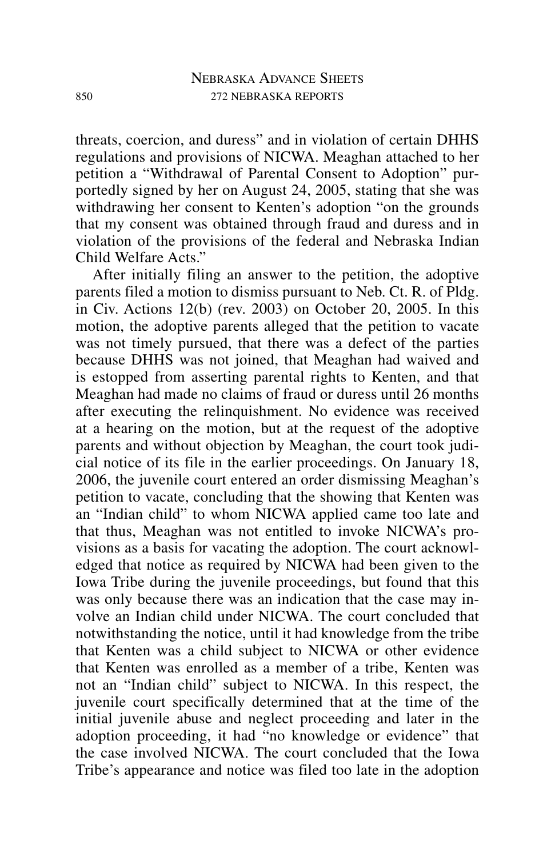threats, coercion, and duress" and in violation of certain DHHS regulations and provisions of NICWA. Meaghan attached to her petition a "Withdrawal of Parental Consent to Adoption" purportedly signed by her on August 24, 2005, stating that she was withdrawing her consent to Kenten's adoption "on the grounds that my consent was obtained through fraud and duress and in violation of the provisions of the federal and Nebraska Indian Child Welfare Acts."

After initially filing an answer to the petition, the adoptive parents filed a motion to dismiss pursuant to Neb. Ct. R. of Pldg. in Civ. Actions 12(b) (rev. 2003) on October 20, 2005. In this motion, the adoptive parents alleged that the petition to vacate was not timely pursued, that there was a defect of the parties because DHHS was not joined, that Meaghan had waived and is estopped from asserting parental rights to Kenten, and that Meaghan had made no claims of fraud or duress until 26 months after executing the relinquishment. No evidence was received at a hearing on the motion, but at the request of the adoptive parents and without objection by Meaghan, the court took judicial notice of its file in the earlier proceedings. On January 18, 2006, the juvenile court entered an order dismissing Meaghan's petition to vacate, concluding that the showing that Kenten was an "Indian child" to whom NICWA applied came too late and that thus, Meaghan was not entitled to invoke NICWA's provisions as a basis for vacating the adoption. The court acknowledged that notice as required by NICWA had been given to the Iowa Tribe during the juvenile proceedings, but found that this was only because there was an indication that the case may involve an Indian child under NICWA. The court concluded that notwithstanding the notice, until it had knowledge from the tribe that Kenten was a child subject to NICWA or other evidence that Kenten was enrolled as a member of a tribe, Kenten was not an "Indian child" subject to NICWA. In this respect, the juvenile court specifically determined that at the time of the initial juvenile abuse and neglect proceeding and later in the adoption proceeding, it had "no knowledge or evidence" that the case involved NICWA. The court concluded that the Iowa Tribe's appearance and notice was filed too late in the adoption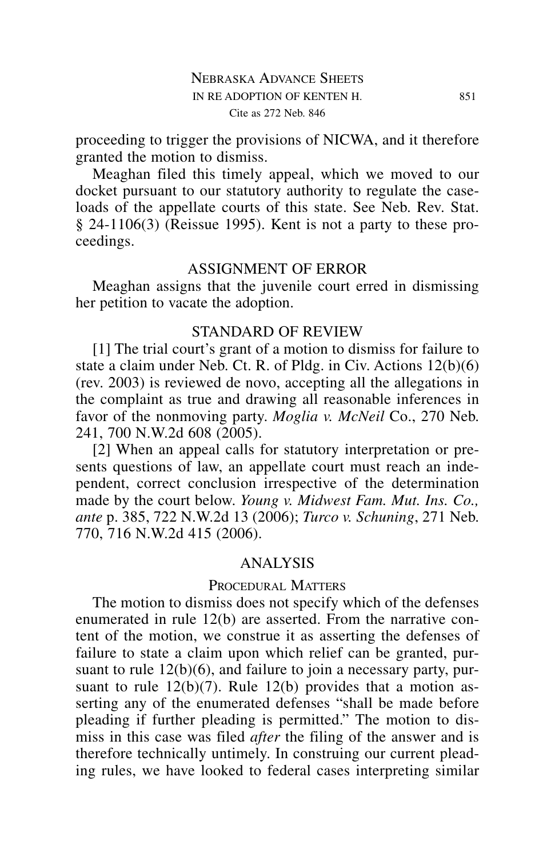proceeding to trigger the provisions of NICWA, and it therefore granted the motion to dismiss.

Meaghan filed this timely appeal, which we moved to our docket pursuant to our statutory authority to regulate the caseloads of the appellate courts of this state. See Neb. Rev. Stat. § 24-1106(3) (Reissue 1995). Kent is not a party to these proceedings.

#### ASSIGNMENT OF ERROR

Meaghan assigns that the juvenile court erred in dismissing her petition to vacate the adoption.

#### STANDARD OF REVIEW

[1] The trial court's grant of a motion to dismiss for failure to state a claim under Neb. Ct. R. of Pldg. in Civ. Actions 12(b)(6) (rev. 2003) is reviewed de novo, accepting all the allegations in the complaint as true and drawing all reasonable inferences in favor of the nonmoving party. *Moglia v. McNeil* Co., 270 Neb. 241, 700 N.W.2d 608 (2005).

[2] When an appeal calls for statutory interpretation or presents questions of law, an appellate court must reach an independent, correct conclusion irrespective of the determination made by the court below. *Young v. Midwest Fam. Mut. Ins. Co., ante* p. 385, 722 N.W.2d 13 (2006); *Turco v. Schuning*, 271 Neb. 770, 716 N.W.2d 415 (2006).

### ANALYSIS

### PROCEDURAL MATTERS

The motion to dismiss does not specify which of the defenses enumerated in rule 12(b) are asserted. From the narrative content of the motion, we construe it as asserting the defenses of failure to state a claim upon which relief can be granted, pursuant to rule 12(b)(6), and failure to join a necessary party, pursuant to rule  $12(b)(7)$ . Rule  $12(b)$  provides that a motion asserting any of the enumerated defenses "shall be made before pleading if further pleading is permitted." The motion to dismiss in this case was filed *after* the filing of the answer and is therefore technically untimely. In construing our current pleading rules, we have looked to federal cases interpreting similar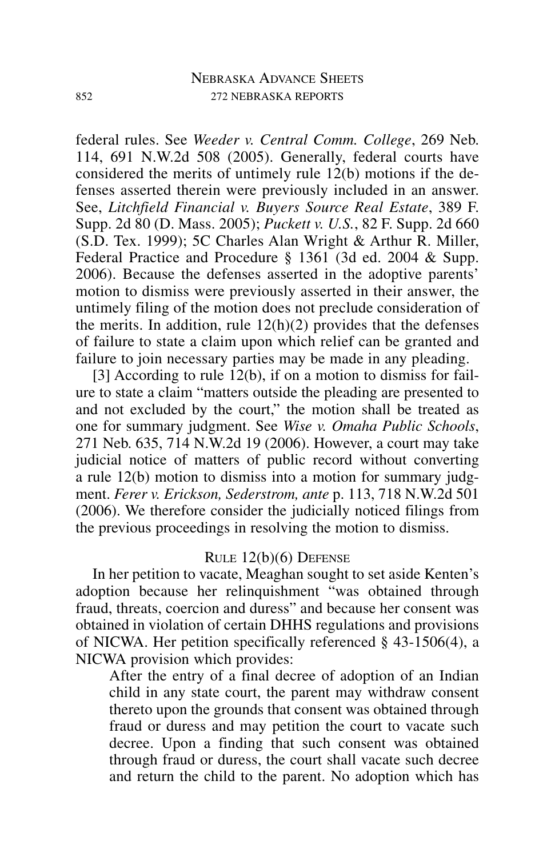# NEBRASKA ADVANCE SHEETS 852 272 NEBRASKA REPORTS

federal rules. See *Weeder v. Central Comm. College*, 269 Neb. 114, 691 N.W.2d 508 (2005). Generally, federal courts have considered the merits of untimely rule 12(b) motions if the defenses asserted therein were previously included in an answer. See, *Litchfield Financial v. Buyers Source Real Estate*, 389 F. Supp. 2d 80 (D. Mass. 2005); *Puckett v. U.S.*, 82 F. Supp. 2d 660 (S.D. Tex. 1999); 5C Charles Alan Wright & Arthur R. Miller, Federal Practice and Procedure § 1361 (3d ed. 2004 & Supp. 2006). Because the defenses asserted in the adoptive parents' motion to dismiss were previously asserted in their answer, the untimely filing of the motion does not preclude consideration of the merits. In addition, rule  $12(h)(2)$  provides that the defenses of failure to state a claim upon which relief can be granted and failure to join necessary parties may be made in any pleading.

[3] According to rule 12(b), if on a motion to dismiss for failure to state a claim "matters outside the pleading are presented to and not excluded by the court," the motion shall be treated as one for summary judgment. See *Wise v. Omaha Public Schools*, 271 Neb. 635, 714 N.W.2d 19 (2006). However, a court may take judicial notice of matters of public record without converting a rule 12(b) motion to dismiss into a motion for summary judgment. *Ferer v. Erickson, Sederstrom, ante* p. 113, 718 N.W.2d 501 (2006). We therefore consider the judicially noticed filings from the previous proceedings in resolving the motion to dismiss.

### RULE 12(b)(6) DEFENSE

In her petition to vacate, Meaghan sought to set aside Kenten's adoption because her relinquishment "was obtained through fraud, threats, coercion and duress" and because her consent was obtained in violation of certain DHHS regulations and provisions of NICWA. Her petition specifically referenced § 43-1506(4), a NICWA provision which provides:

After the entry of a final decree of adoption of an Indian child in any state court, the parent may withdraw consent thereto upon the grounds that consent was obtained through fraud or duress and may petition the court to vacate such decree. Upon a finding that such consent was obtained through fraud or duress, the court shall vacate such decree and return the child to the parent. No adoption which has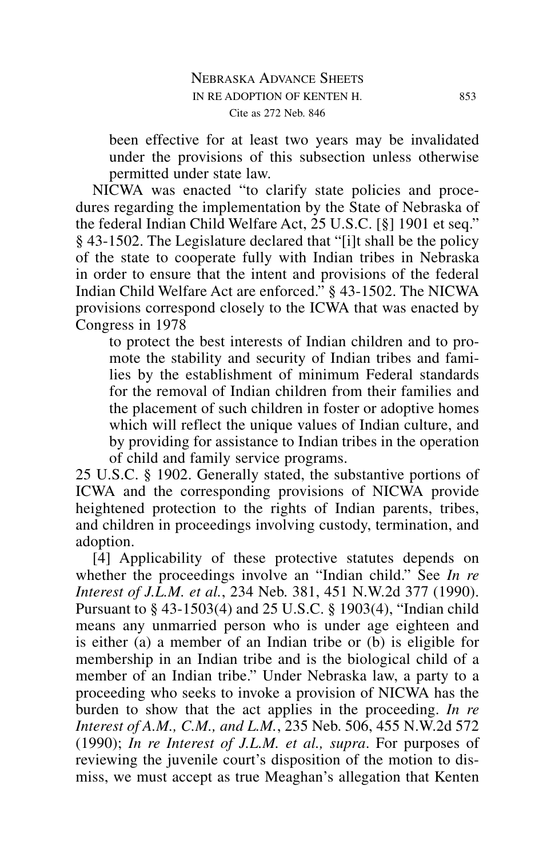been effective for at least two years may be invalidated under the provisions of this subsection unless otherwise permitted under state law.

NICWA was enacted "to clarify state policies and procedures regarding the implementation by the State of Nebraska of the federal Indian Child Welfare Act, 25 U.S.C. [§] 1901 et seq." § 43-1502. The Legislature declared that "[i]t shall be the policy of the state to cooperate fully with Indian tribes in Nebraska in order to ensure that the intent and provisions of the federal Indian Child Welfare Act are enforced." § 43-1502. The NICWA provisions correspond closely to the ICWA that was enacted by Congress in 1978

to protect the best interests of Indian children and to promote the stability and security of Indian tribes and families by the establishment of minimum Federal standards for the removal of Indian children from their families and the placement of such children in foster or adoptive homes which will reflect the unique values of Indian culture, and by providing for assistance to Indian tribes in the operation of child and family service programs.

25 U.S.C. § 1902. Generally stated, the substantive portions of ICWA and the corresponding provisions of NICWA provide heightened protection to the rights of Indian parents, tribes, and children in proceedings involving custody, termination, and adoption.

[4] Applicability of these protective statutes depends on whether the proceedings involve an "Indian child." See *In re Interest of J.L.M. et al.*, 234 Neb. 381, 451 N.W.2d 377 (1990). Pursuant to § 43-1503(4) and 25 U.S.C. § 1903(4), "Indian child means any unmarried person who is under age eighteen and is either (a) a member of an Indian tribe or (b) is eligible for membership in an Indian tribe and is the biological child of a member of an Indian tribe." Under Nebraska law, a party to a proceeding who seeks to invoke a provision of NICWA has the burden to show that the act applies in the proceeding. *In re Interest of A.M., C.M., and L.M.*, 235 Neb. 506, 455 N.W.2d 572 (1990); *In re Interest of J.L.M. et al., supra*. For purposes of reviewing the juvenile court's disposition of the motion to dismiss, we must accept as true Meaghan's allegation that Kenten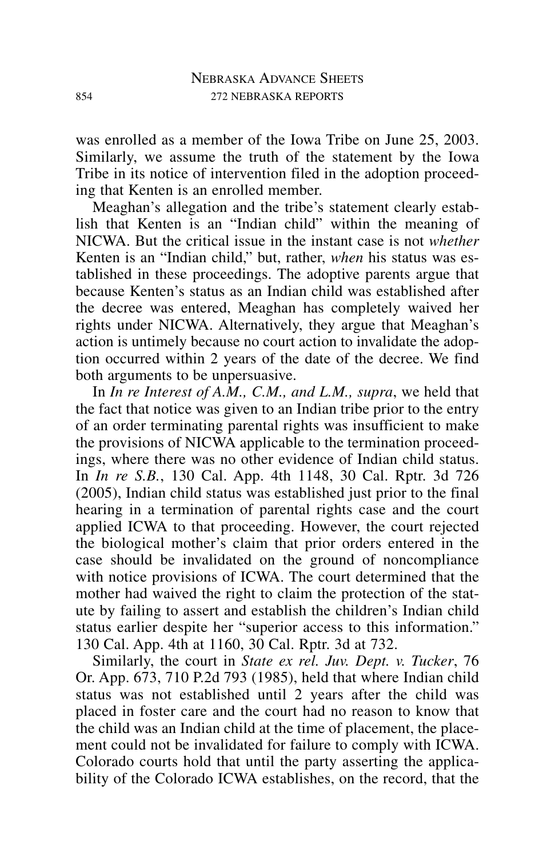was enrolled as a member of the Iowa Tribe on June 25, 2003. Similarly, we assume the truth of the statement by the Iowa Tribe in its notice of intervention filed in the adoption proceeding that Kenten is an enrolled member.

Meaghan's allegation and the tribe's statement clearly establish that Kenten is an "Indian child" within the meaning of NICWA. But the critical issue in the instant case is not *whether* Kenten is an "Indian child," but, rather, *when* his status was established in these proceedings. The adoptive parents argue that because Kenten's status as an Indian child was established after the decree was entered, Meaghan has completely waived her rights under NICWA. Alternatively, they argue that Meaghan's action is untimely because no court action to invalidate the adoption occurred within 2 years of the date of the decree. We find both arguments to be unpersuasive.

In *In re Interest of A.M., C.M., and L.M., supra*, we held that the fact that notice was given to an Indian tribe prior to the entry of an order terminating parental rights was insufficient to make the provisions of NICWA applicable to the termination proceedings, where there was no other evidence of Indian child status. In *In re S.B.*, 130 Cal. App. 4th 1148, 30 Cal. Rptr. 3d 726 (2005), Indian child status was established just prior to the final hearing in a termination of parental rights case and the court applied ICWA to that proceeding. However, the court rejected the biological mother's claim that prior orders entered in the case should be invalidated on the ground of noncompliance with notice provisions of ICWA. The court determined that the mother had waived the right to claim the protection of the statute by failing to assert and establish the children's Indian child status earlier despite her "superior access to this information." 130 Cal. App. 4th at 1160, 30 Cal. Rptr. 3d at 732.

Similarly, the court in *State ex rel. Juv. Dept. v. Tucker*, 76 Or. App. 673, 710 P.2d 793 (1985), held that where Indian child status was not established until 2 years after the child was placed in foster care and the court had no reason to know that the child was an Indian child at the time of placement, the placement could not be invalidated for failure to comply with ICWA. Colorado courts hold that until the party asserting the applicability of the Colorado ICWA establishes, on the record, that the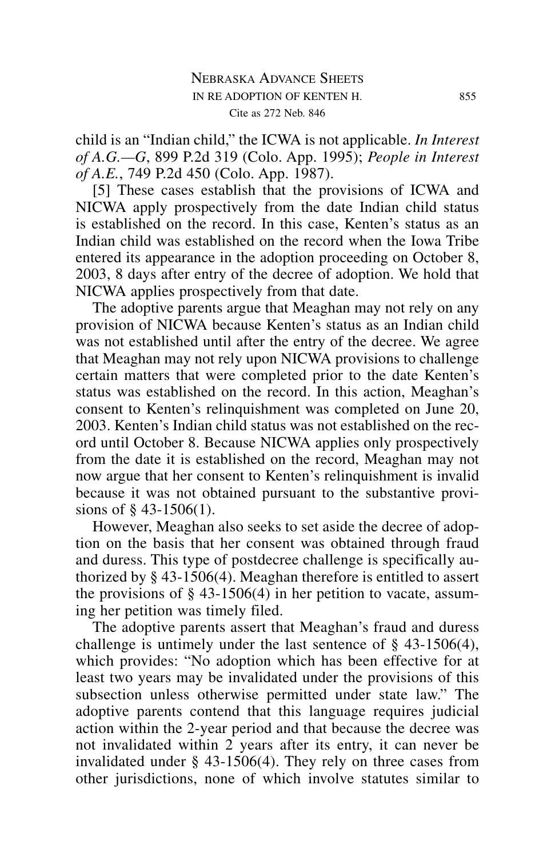child is an "Indian child," the ICWA is not applicable. *In Interest of A.G.—G*, 899 P.2d 319 (Colo. App. 1995); *People in Interest of A.E.*, 749 P.2d 450 (Colo. App. 1987).

[5] These cases establish that the provisions of ICWA and NICWA apply prospectively from the date Indian child status is established on the record. In this case, Kenten's status as an Indian child was established on the record when the Iowa Tribe entered its appearance in the adoption proceeding on October 8, 2003, 8 days after entry of the decree of adoption. We hold that NICWA applies prospectively from that date.

The adoptive parents argue that Meaghan may not rely on any provision of NICWA because Kenten's status as an Indian child was not established until after the entry of the decree. We agree that Meaghan may not rely upon NICWA provisions to challenge certain matters that were completed prior to the date Kenten's status was established on the record. In this action, Meaghan's consent to Kenten's relinquishment was completed on June 20, 2003. Kenten's Indian child status was not established on the record until October 8. Because NICWA applies only prospectively from the date it is established on the record, Meaghan may not now argue that her consent to Kenten's relinquishment is invalid because it was not obtained pursuant to the substantive provisions of § 43-1506(1).

However, Meaghan also seeks to set aside the decree of adoption on the basis that her consent was obtained through fraud and duress. This type of postdecree challenge is specifically authorized by § 43-1506(4). Meaghan therefore is entitled to assert the provisions of  $\S$  43-1506(4) in her petition to vacate, assuming her petition was timely filed.

The adoptive parents assert that Meaghan's fraud and duress challenge is untimely under the last sentence of § 43-1506(4), which provides: "No adoption which has been effective for at least two years may be invalidated under the provisions of this subsection unless otherwise permitted under state law." The adoptive parents contend that this language requires judicial action within the 2-year period and that because the decree was not invalidated within 2 years after its entry, it can never be invalidated under § 43-1506(4). They rely on three cases from other jurisdictions, none of which involve statutes similar to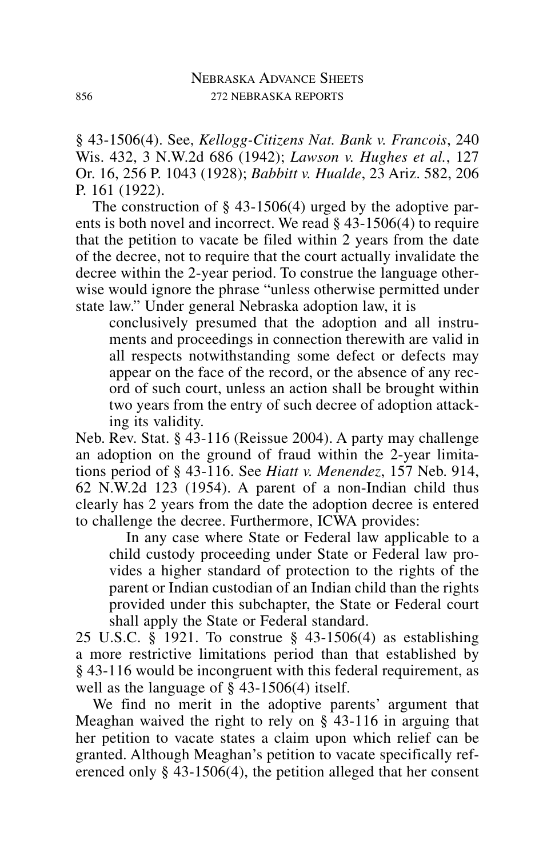§ 43-1506(4). See, *Kellogg-Citizens Nat. Bank v. Francois*, 240 Wis. 432, 3 N.W.2d 686 (1942); *Lawson v. Hughes et al.*, 127 Or. 16, 256 P. 1043 (1928); *Babbitt v. Hualde*, 23 Ariz. 582, 206 P. 161 (1922).

The construction of  $\S$  43-1506(4) urged by the adoptive parents is both novel and incorrect. We read § 43-1506(4) to require that the petition to vacate be filed within 2 years from the date of the decree, not to require that the court actually invalidate the decree within the 2-year period. To construe the language otherwise would ignore the phrase "unless otherwise permitted under state law." Under general Nebraska adoption law, it is

conclusively presumed that the adoption and all instruments and proceedings in connection therewith are valid in all respects notwithstanding some defect or defects may appear on the face of the record, or the absence of any record of such court, unless an action shall be brought within two years from the entry of such decree of adoption attacking its validity.

Neb. Rev. Stat. § 43-116 (Reissue 2004). A party may challenge an adoption on the ground of fraud within the 2-year limitations period of § 43-116. See *Hiatt v. Menendez*, 157 Neb. 914, 62 N.W.2d 123 (1954). A parent of a non-Indian child thus clearly has 2 years from the date the adoption decree is entered to challenge the decree. Furthermore, ICWA provides:

In any case where State or Federal law applicable to a child custody proceeding under State or Federal law provides a higher standard of protection to the rights of the parent or Indian custodian of an Indian child than the rights provided under this subchapter, the State or Federal court shall apply the State or Federal standard.

25 U.S.C. § 1921. To construe § 43-1506(4) as establishing a more restrictive limitations period than that established by § 43-116 would be incongruent with this federal requirement, as well as the language of § 43-1506(4) itself.

We find no merit in the adoptive parents' argument that Meaghan waived the right to rely on § 43-116 in arguing that her petition to vacate states a claim upon which relief can be granted. Although Meaghan's petition to vacate specifically referenced only § 43-1506(4), the petition alleged that her consent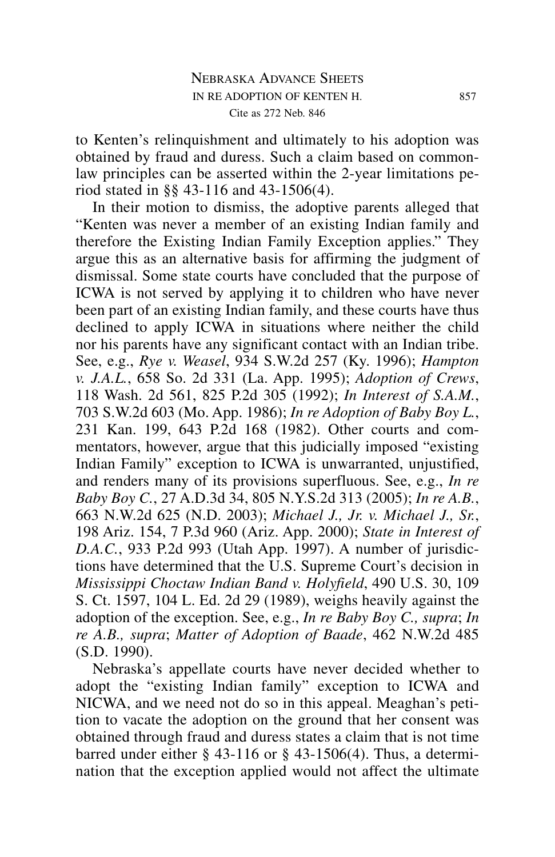to Kenten's relinquishment and ultimately to his adoption was obtained by fraud and duress. Such a claim based on commonlaw principles can be asserted within the 2-year limitations period stated in §§ 43-116 and 43-1506(4).

In their motion to dismiss, the adoptive parents alleged that "Kenten was never a member of an existing Indian family and therefore the Existing Indian Family Exception applies." They argue this as an alternative basis for affirming the judgment of dismissal. Some state courts have concluded that the purpose of ICWA is not served by applying it to children who have never been part of an existing Indian family, and these courts have thus declined to apply ICWA in situations where neither the child nor his parents have any significant contact with an Indian tribe. See, e.g., *Rye v. Weasel*, 934 S.W.2d 257 (Ky. 1996); *Hampton v. J.A.L.*, 658 So. 2d 331 (La. App. 1995); *Adoption of Crews*, 118 Wash. 2d 561, 825 P.2d 305 (1992); *In Interest of S.A.M.*, 703 S.W.2d 603 (Mo. App. 1986); *In re Adoption of Baby Boy L.*, 231 Kan. 199, 643 P.2d 168 (1982). Other courts and commentators, however, argue that this judicially imposed "existing Indian Family" exception to ICWA is unwarranted, unjustified, and renders many of its provisions superfluous. See, e.g., *In re Baby Boy C.*, 27 A.D.3d 34, 805 N.Y.S.2d 313 (2005); *In re A.B.*, 663 N.W.2d 625 (N.D. 2003); *Michael J., Jr. v. Michael J., Sr.*, 198 Ariz. 154, 7 P.3d 960 (Ariz. App. 2000); *State in Interest of D.A.C.*, 933 P.2d 993 (Utah App. 1997). A number of jurisdictions have determined that the U.S. Supreme Court's decision in *Mississippi Choctaw Indian Band v. Holyfield*, 490 U.S. 30, 109 S. Ct. 1597, 104 L. Ed. 2d 29 (1989), weighs heavily against the adoption of the exception. See, e.g., *In re Baby Boy C., supra*; *In re A.B., supra*; *Matter of Adoption of Baade*, 462 N.W.2d 485 (S.D. 1990).

Nebraska's appellate courts have never decided whether to adopt the "existing Indian family" exception to ICWA and NICWA, and we need not do so in this appeal. Meaghan's petition to vacate the adoption on the ground that her consent was obtained through fraud and duress states a claim that is not time barred under either  $\S$  43-116 or  $\S$  43-1506(4). Thus, a determination that the exception applied would not affect the ultimate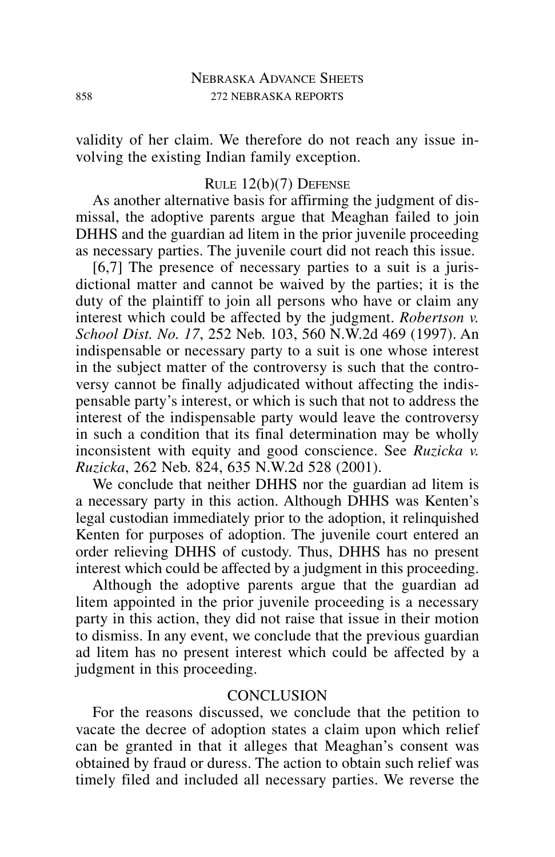validity of her claim. We therefore do not reach any issue involving the existing Indian family exception.

#### RULE 12(b)(7) DEFENSE

As another alternative basis for affirming the judgment of dismissal, the adoptive parents argue that Meaghan failed to join DHHS and the guardian ad litem in the prior juvenile proceeding as necessary parties. The juvenile court did not reach this issue.

[6,7] The presence of necessary parties to a suit is a jurisdictional matter and cannot be waived by the parties; it is the duty of the plaintiff to join all persons who have or claim any interest which could be affected by the judgment. *Robertson v. School Dist. No. 17*, 252 Neb. 103, 560 N.W.2d 469 (1997). An indispensable or necessary party to a suit is one whose interest in the subject matter of the controversy is such that the controversy cannot be finally adjudicated without affecting the indispensable party's interest, or which is such that not to address the interest of the indispensable party would leave the controversy in such a condition that its final determination may be wholly inconsistent with equity and good conscience. See *Ruzicka v. Ruzicka*, 262 Neb. 824, 635 N.W.2d 528 (2001).

We conclude that neither DHHS nor the guardian ad litem is a necessary party in this action. Although DHHS was Kenten's legal custodian immediately prior to the adoption, it relinquished Kenten for purposes of adoption. The juvenile court entered an order relieving DHHS of custody. Thus, DHHS has no present interest which could be affected by a judgment in this proceeding.

Although the adoptive parents argue that the guardian ad litem appointed in the prior juvenile proceeding is a necessary party in this action, they did not raise that issue in their motion to dismiss. In any event, we conclude that the previous guardian ad litem has no present interest which could be affected by a judgment in this proceeding.

# **CONCLUSION**

For the reasons discussed, we conclude that the petition to vacate the decree of adoption states a claim upon which relief can be granted in that it alleges that Meaghan's consent was obtained by fraud or duress. The action to obtain such relief was timely filed and included all necessary parties. We reverse the